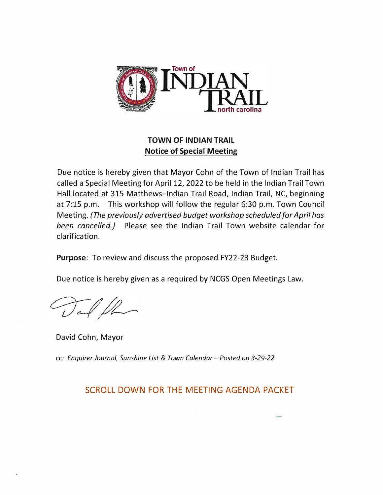

## **TOWN OF INDIAN TRAIL Notice of Special Meeting**

Due notice is hereby given that Mayor Cohn of the Town of Indian Trail has called a Special Meeting for April 12, 2022 to be held in the Indian Trail Town Hall located at 315 Matthews-Indian Trail Road, Indian Trail, NC, beginning at 7:15 p.m. This workshop will follow the regular 6:30 p.m. Town Council Meeting. *(The previously advertised budget workshop scheduled for April has been cancelled.)* Please see the Indian Trail Town website calendar for clarification.

**Purpose:** To review and discuss the proposed FY22-23 Budget.

Due notice is hereby given as a required by NCGS Open Meetings Law.

David Cohn, Mayor

*cc: Enquirer Journal, Sunshine List* & *Town Calendar- Posted on 3-29-22*

## SCROLL DOWN FOR THE MEETING AGENDA PACKET